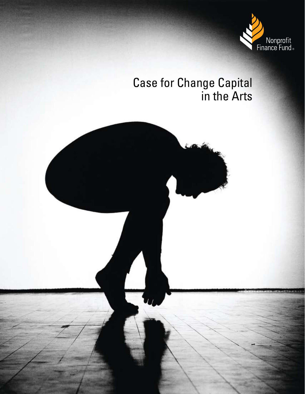

# Case for Change Capital in the Arts

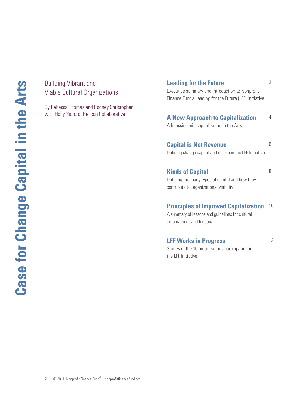# Building Vibrant and Viable Cultural Organizations

By Rebecca Thomas and Rodney Christopher with Holly Sidford, Helicon Collaborative

# **Leading for the Future**

3

Executive summary and introduction to Nonprofit Finance Fund's Leading for the Future (LFF) Initiative

#### **A New Approach to Capitalization** Addressing mis-capitalization in the Arts 4

**Capital is Not Revenue** Defining change capital and its use in the LFF Initiative 6

**Kinds of Capital**

8

Defining the many types of capital and how they contribute to organizational viability

# **Principles of Improved Capitalization** 10

A summary of lessons and guidelines for cultural organizations and funders

# **LFF Works in Progress**

12

Stories of the 10 organizations participating in the LFF Initiative

2 © 2011, Nonprofit Finance Fund<sup>®</sup> nonprofitfinancefund.org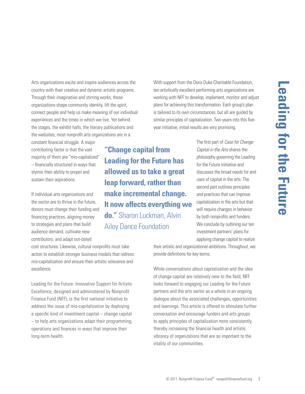Arts organizations excite and inspire audiences across the country with their creative and dynamic artistic programs. Through their imaginative and stirring works, these organizations shape community identity, lift the spirit, connect people and help us make meaning of our individual experiences and the times in which we live. Yet behind the stages, the exhibit halls, the literary publications and the websites, most nonprofit arts organizations are in a

constant financial struggle. A major contributing factor is that the vast majority of them are "mis-capitalized" – financially structured in ways that stymie their ability to propel and sustain their aspirations.

If individual arts organizations and the sector are to thrive in the future, donors must change their funding and financing practices, aligning money to strategies and plans that build audience demand, cultivate new contributors, and adapt out-dated

**"Change capital from Leading for the Future has allowed us to take a great leap forward, rather than make incremental change. It now affects everything we do."** Sharon Luckman, Alvin Ailey Dance Foundation

With support from the Doris Duke Charitable Foundation, ten artistically excellent performing arts organizations are working with NFF to develop, implement, monitor and adjust plans for achieving this transformation. Each group's plan is tailored to its own circumstances, but all are guided by similar principles of capitalization. Two years into this fiveyear initiative, initial results are very promising.

> The first part of *Case for Change Capital in the Arts* shares the philosophy governing the Leading for the Future initiative and discusses the broad needs for and uses of capital in the arts. The second part outlines principles and practices that can improve capitalization in the arts but that will require changes in behavior by both nonprofits and funders. We conclude by outlining our ten investment partners' plans for applying change capital to realize

cost structures. Likewise, cultural nonprofits must take action to establish stronger business models that redress mis-capitalization and ensure their artistic relevance and excellence.

Leading for the Future: Innovative Support for Artistic Excellence, designed and administered by Nonprofit Finance Fund (NFF), is the first national initiative to address the issue of mis-capitalization by deploying a specific kind of investment capital – change capital – to help arts organizations adapt their programming, operations and finances in ways that improve their long-term health.

their artistic and organizational ambitions. Throughout, we provide definitions for key terms.

While conversations about capitalization and the idea of change capital are relatively new to the field, NFF looks forward to engaging our Leading for the Future partners and the arts sector as a whole in an ongoing dialogue about the associated challenges, opportunities and learnings. This article is offered to stimulate further conversation and encourage funders and arts groups to apply principles of capitalization more consistently, thereby increasing the financial health and artistic vibrancy of organizations that are so important to the vitality of our communities.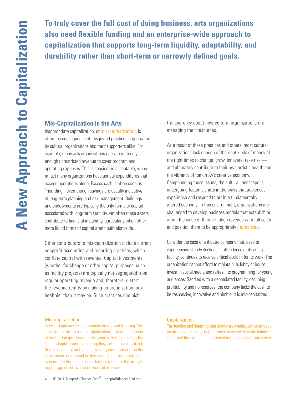**To truly cover the full cost of doing business, arts organizations also need flexible funding and an enterprise-wide approach to capitalization that supports long-term liquidity, adaptability, and durability rather than short-term or narrowly defined goals.**

### **Mis-Capitalization in the Arts**

Inappropriate capitalization, or mis-capitalization, is often the consequence of misguided practices perpetuated by cultural organizations and their supporters alike. For example, many arts organizations operate with only enough unrestricted revenue to cover program and operating expenses. This is considered acceptable, when in fact many organizations have annual expenditures that exceed operations alone. Excess cash is often seen as "hoarding," even though savings are usually indicative of long-term planning and risk management. Buildings and endowments are typically the only forms of capital associated with long-term stability, yet often these assets contribute to financial instability, particularly when other more liquid forms of capital aren't built alongside.

Other contributors to mis-capitalization include current nonprofit accounting and reporting practices, which conflate capital with revenue. Capital investments (whether for change or other capital purposes, such as facility projects) are typically not segregated from regular operating revenue and, therefore, distort the revenue reality by making an organization look healthier than it may be. Such practices diminish

#### Mis-capitalization

Uneven, inappropriate or inadequate funding and financing. Miscapitalization includes under-capitalization (insufficient amounts of funding) but goes beyond it. Mis-capitalized organizations have limited adaptive capacity, meaning they lack the flexibility to adjust their programming and operations in response to changes in the environment and demand for their work. Adaptive capacity is evidenced by the strength of the balance sheet and the ability to regularly generate revenue in excess of expenses.

transparency about how cultural organizations are managing their resources.

As a result of these practices and others, most cultural organizations lack enough of the right kinds of money at the right times to change, grow, innovate, take risk  and ultimately contribute to their own artistic health and the vibrancy of tomorrow's creative economy. Compounding these issues, the cultural landscape is undergoing tectonic shifts in the ways that audiences experience and respond to art in a fundamentally altered economy. In this environment, organizations are challenged to develop business models that establish or affirm the value of their art, align revenue with full costs and position them to be appropriately capitalized.

Consider the case of a theatre company that, despite experiencing steady declines in attendance at its aging facility, continues to receive critical acclaim for its work. The organization cannot afford to maintain its lobby or house, invest in social media and refresh its programming for young audiences. Saddled with a depreciated facility, declining profitability and no reserves, the company lacks the cash to be responsive, innovative and nimble. It is mis-capitalized.

#### **Capitalization**

The funding and financing that allows an organization to achieve its mission effectively. Capitalization is revealed on the balance sheet and through the generation of net revenue (i.e., surpluses).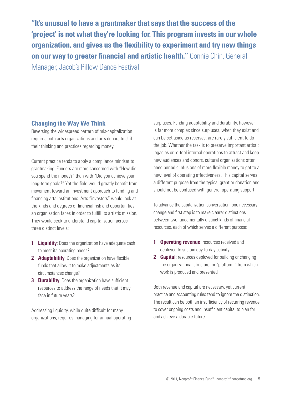**"It's unusual to have a grantmaker that says that the success of the 'project' is not what they're looking for. This program invests in our whole organization, and gives us the flexibility to experiment and try new things on our way to greater financial and artistic health."** Connie Chin, General Manager, Jacob's Pillow Dance Festival

# **Changing the Way We Think**

Reversing the widespread pattern of mis-capitalization requires both arts organizations and arts donors to shift their thinking and practices regarding money.

Current practice tends to apply a compliance mindset to grantmaking. Funders are more concerned with "How did you spend the money?" than with "Did you achieve your long-term goals?" Yet the field would greatly benefit from movement toward an investment approach to funding and financing arts institutions. Arts "investors" would look at the kinds and degrees of financial risk and opportunities an organization faces in order to fulfill its artistic mission. They would seek to understand capitalization across three distinct levels:

- **1 Liquidity**: Does the organization have adequate cash to meet its operating needs?
- **2 Adaptability**: Does the organization have flexible funds that allow it to make adjustments as its circumstances change?
- **3 Durability**: Does the organization have sufficient resources to address the range of needs that it may face in future years?

Addressing liquidity, while quite difficult for many organizations, requires managing for annual operating surpluses. Funding adaptability and durability, however, is far more complex since surpluses, when they exist and can be set aside as reserves, are rarely sufficient to do the job. Whether the task is to preserve important artistic legacies or re-tool internal operations to attract and keep new audiences and donors, cultural organizations often need periodic infusions of more flexible money to get to a new level of operating effectiveness. This capital serves a different purpose from the typical grant or donation and should not be confused with general operating support.

To advance the capitalization conversation, one necessary change and first step is to make clearer distinctions between two fundamentally distinct kinds of financial resources, each of which serves a different purpose:

- **1 Operating revenue**: resources received and deployed to sustain day-to-day activity
- **2 Capital**: resources deployed for building or changing the organizational structure, or "platform," from which work is produced and presented

Both revenue and capital are necessary, yet current practice and accounting rules tend to ignore the distinction. The result can be both an insufficiency of recurring revenue to cover ongoing costs and insufficient capital to plan for and achieve a durable future.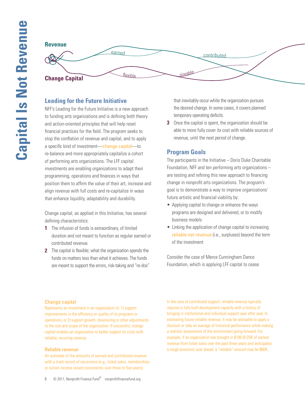

# **Leading for the Future Initiative**

NFF's Leading for the Future Initiative is a new approach to funding arts organizations and is defining both theory and action-oriented principles that will help reset financial practices for the field. The program seeks to stop the conflation of revenue and capital, and to apply a specific kind of investment—change capital—to re-balance and more appropriately capitalize a cohort of performing arts organizations. The LFF capital investments are enabling organizations to adapt their programming, operations and finances in ways that position them to affirm the value of their art, increase and align revenue with full costs and re-capitalize in ways that enhance liquidity, adaptability and durability.

Change capital, as applied in this Initiative, has several defining characteristics:

- **1** The infusion of funds is extraordinary, of limited duration and not meant to function as regular earned or contributed revenue.
- **2** The capital is flexible; what the organization spends the funds on matters less than what it achieves. The funds are meant to support the errors, risk-taking and "re-dos"

that inevitably occur while the organization pursues the desired change. In some cases, it covers planned temporary operating deficits.

**3** Once the capital is spent, the organization should be able to more fully cover its cost with reliable sources of revenue, until the next period of change.

# **Program Goals**

The participants in the Initiative – Doris Duke Charitable Foundation, NFF and ten performing arts organizations – are testing and refining this new approach to financing change in nonprofit arts organizations. The program's goal is to demonstrate a way to improve organizations' future artistic and financial viability by:

- Applying capital to change or enhance the ways programs are designed and delivered, or to modify business models
- Linking the application of change capital to increasing reliable net revenue (i.e., surpluses) beyond the term of the investment

Consider the case of Merce Cunningham Dance Foundation, which is applying LFF capital to cease

# Change capital

Represents an investment in an organization to: 1) support improvements in the efficiency or quality of its programs or operations, or 2) support growth, downsizing or other adjustments to the size and scope of the organization. If successful, change capital enables an organization to better support its costs with reliable, recurring revenue.

# Reliable revenue

An estimate of the amounts of earned and contributed revenue with a track record of recurrence (e.g., ticket sales, memberships or tuition income raised consistently over three to five years).

In the case of contributed support, reliable revenue typically requires a fully built development capacity with a history of bringing in institutional and individual support year after year. In estimating future reliable revenue, it may be advisable to apply a discount or take an average of historical performance while making a realistic assessment of the environment going forward. For example, if an organization has brought in \$100-\$125K of earned revenue from ticket sales over the past three years and anticipates a tough economic year ahead, a "reliable" amount may be \$80K.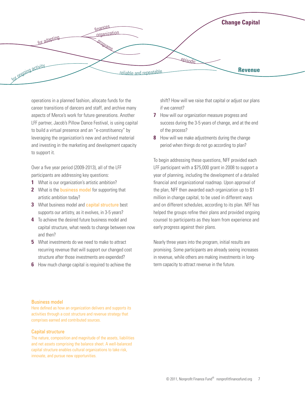

operations in a planned fashion, allocate funds for the career transitions of dancers and staff, and archive many aspects of Merce's work for future generations. Another LFF partner, Jacob's Pillow Dance Festival, is using capital to build a virtual presence and an "e-constituency" by leveraging the organization's new and archived material and investing in the marketing and development capacity to support it.

Over a five year period (2009-2013), all of the LFF participants are addressing key questions:

- **1** What is our organization's artistic ambition?
- **2** What is the business model for supporting that artistic ambition today?
- **3** What business model and **capital structure** best supports our artistry, as it evolves, in 3-5 years?
- **4** To achieve the desired future business model and capital structure, what needs to change between now and then?
- **5** What investments do we need to make to attract recurring revenue that will support our changed cost structure after those investments are expended?
- **6** How much change capital is required to achieve the

shift? How will we raise that capital or adjust our plans if we cannot?

- **7** How will our organization measure progress and success during the 3-5 years of change, and at the end of the process?
- **8** How will we make adjustments during the change period when things do not go according to plan?

To begin addressing these questions, NFF provided each LFF participant with a \$75,000 grant in 2008 to support a year of planning, including the development of a detailed financial and organizational roadmap. Upon approval of the plan, NFF then awarded each organization up to \$1 million in change capital, to be used in different ways and on different schedules, according to its plan. NFF has helped the groups refine their plans and provided ongoing counsel to participants as they learn from experience and early progress against their plans.

Nearly three years into the program, initial results are promising. Some participants are already seeing increases in revenue, while others are making investments in longterm capacity to attract revenue in the future.

#### Business model

Here defined as how an organization delivers and supports its activities through a cost structure and revenue strategy that comprises earned and contributed sources.

#### Capital structure

The nature, composition and magnitude of the assets, liabilities and net assets comprising the balance sheet. A well-balanced capital structure enables cultural organizations to take risk, innovate, and pursue new opportunities.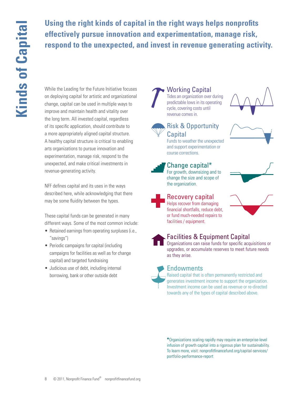**Using the right kinds of capital in the right ways helps nonprofits effectively pursue innovation and experimentation, manage risk, respond to the unexpected, and invest in revenue generating activity.**

While the Leading for the Future Initiative focuses on deploying capital for artistic and organizational change, capital can be used in multiple ways to improve and maintain health and vitality over the long term. All invested capital, regardless of its specific application, should contribute to a more appropriately aligned capital structure. A healthy capital structure is critical to enabling arts organizations to pursue innovation and experimentation, manage risk, respond to the unexpected, and make critical investments in revenue-generating activity.

NFF defines capital and its uses in the ways described here, while acknowledging that there may be some fluidity between the types.

These capital funds can be generated in many different ways. Some of the most common include:

- Retained earnings from operating surpluses (i.e., "savings")
- Periodic campaigns for capital (including campaigns for facilities as well as for change capital) and targeted fundraising
- Judicious use of debt, including internal borrowing, bank or other outside debt

Working Capital Tides an organization over during predictable lows in its operating cycle, covering costs until revenue comes in.





# Risk & Opportunity

Funds to weather the unexpected and support experimentation or course corrections.

# Change capital\*

For growth, downsizing and to change the size and scope of the organization.

Recovery capital Helps recover from damaging

facilities / equipment.

or fund much-needed repairs to



# Facilities & Equipment Capital

Organizations can raise funds for specific acquisitions or upgrades, or accumulate reserves to meet future needs as they arise.



# **Endowments**

Raised capital that is often permanently restricted and generates investment income to support the organization. Investment income can be used as revenue or re-directed towards any of the types of capital described above.

**\***Organizations scaling rapidly may require an enterprise-level infusion of growth capital into a rigorous plan for sustainability. To learn more, visit: nonprofitfinancefund.org/capital-services/ portfolio-performance-report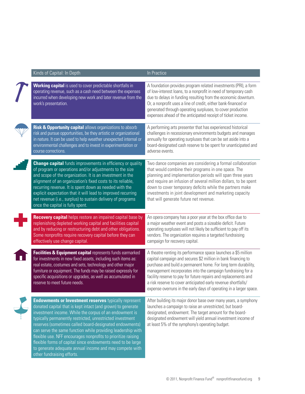| Kinds of Capital: In Depth                                                                                                                                                                                                                                                                                                                                                                                                                                                                                                                                                                            | In Practice                                                                                                                                                                                                                                                                                                                                                                                                                                                                |
|-------------------------------------------------------------------------------------------------------------------------------------------------------------------------------------------------------------------------------------------------------------------------------------------------------------------------------------------------------------------------------------------------------------------------------------------------------------------------------------------------------------------------------------------------------------------------------------------------------|----------------------------------------------------------------------------------------------------------------------------------------------------------------------------------------------------------------------------------------------------------------------------------------------------------------------------------------------------------------------------------------------------------------------------------------------------------------------------|
| <b>Working capital</b> is used to cover predictable shortfalls in<br>operating revenue, such as a cash need between the expenses<br>incurred when developing new work and later revenue from the<br>work's presentation.                                                                                                                                                                                                                                                                                                                                                                              | A foundation provides program related investments (PRI), a form<br>of low-interest loans, to a nonprofit in need of temporary cash<br>due to delays in funding resulting from the economic downturn.<br>Or, a nonprofit uses a line of credit, either bank-financed or<br>generated through operating surpluses, to cover production<br>expenses ahead of the anticipated receipt of ticket income.                                                                        |
| Risk & Opportunity capital allows organizations to absorb<br>risk and pursue opportunities, be they artistic or organizational<br>in nature. It can be used to help weather unexpected internal or<br>environmental challenges and to invest in experimentation or<br>course corrections.                                                                                                                                                                                                                                                                                                             | A performing arts presenter that has experienced historical<br>challenges in recessionary environments budgets and manages<br>annually for operating surpluses that can be set aside into a<br>board-designated cash reserve to be spent for unanticipated and<br>adverse events.                                                                                                                                                                                          |
| <b>Change capital</b> funds improvements in efficiency or quality<br>of program or operations and/or adjustments to the size<br>and scope of the organization. It is an investment in the<br>alignment of an organization's fixed costs to its reliable,<br>recurring revenue. It is spent down as needed with the<br>explicit expectation that it will lead to improved recurring<br>net revenue (i.e., surplus) to sustain delivery of programs<br>once the capital is fully spent.                                                                                                                 | Two dance companies are considering a formal collaboration<br>that would combine their programs in one space. The<br>planning and implementation periods will span three years<br>and require an infusion of several million dollars, to be spent<br>down to cover temporary deficits while the partners make<br>investments in joint development and marketing capacity<br>that will generate future net revenue.                                                         |
| Recovery capital helps restore an impaired capital base by<br>replenishing depleted working capital and facilities capital<br>and by reducing or restructuring debt and other obligations.<br>Some nonprofits require recovery capital before they can<br>effectively use change capital.                                                                                                                                                                                                                                                                                                             | An opera company has a poor year at the box office due to<br>a major weather event and posts a sizeable deficit. Future<br>operating surpluses will not likely be sufficient to pay off its<br>vendors. The organization requires a targeted fundraising<br>campaign for recovery capital.                                                                                                                                                                                 |
| Facilities & Equipment capital represents funds earmarked<br>for investments in new fixed assets, including such items as:<br>real estate, costumes and sets, technology and other major<br>furniture or equipment. The funds may be raised expressly for<br>specific acquisitions or upgrades, as well as accumulated in<br>reserve to meet future needs.                                                                                                                                                                                                                                            | A theatre renting its performance space launches a \$5 million<br>capital campaign and secures \$2 million in bank financing to<br>purchase and build a permanent home. For long term durability,<br>management incorporates into the campaign fundraising for a<br>facility reserve to pay for future repairs and replacements and<br>a risk reserve to cover anticipated early revenue shortfalls/<br>expense overruns in the early days of operating in a larger space. |
| <b>Endowments or Investment reserves typically represent</b><br>donated capital that is kept intact (and grown) to generate<br>investment income. While the corpus of an endowment is<br>typically permanently restricted, unrestricted investment<br>reserves (sometimes called board-designated endowments)<br>can serve the same function while providing leadership with<br>flexible use. NFF encourages nonprofits to prioritize raising<br>flexible forms of capital since endowments need to be large<br>to generate adequate annual income and may compete with<br>other fundraising efforts. | After building its major donor base over many years, a symphony<br>launches a campaign to raise an unrestricted, but board-<br>designated, endowment. The target amount for the board-<br>designated endowment will yield annual investment income of<br>at least 5% of the symphony's operating budget.                                                                                                                                                                   |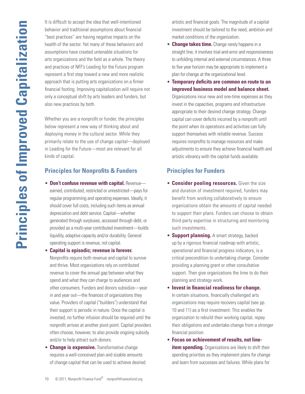It is difficult to accept the idea that well-intentioned behavior and traditional assumptions about financial "best practices" are having negative impacts on the health of the sector. Yet many of these behaviors and assumptions have created untenable situations for arts organizations and the field as a whole. The theory and practices of NFF's Leading for the Future program represent a first step toward a new and more realistic approach that is putting arts organizations on a firmer financial footing. Improving capitalization will require not only a conceptual shift by arts leaders and funders, but also new practices by both.

Whether you are a nonprofit or funder, the principles below represent a new way of thinking about and deploying money in the cultural sector. While they primarily relate to the use of change capital—deployed in Leading for the Future—most are relevant for all kinds of capital.

# **Principles for Nonprofits & Funders**

**• Don't confuse revenue with capital. Revenue**earned, contributed, restricted or unrestricted—pays for regular programming and operating expenses. Ideally, it should cover full costs, including such items as annual depreciation and debt service. Capital—whether generated through surpluses, accessed through debt, or provided as a multi-year contributed investment—builds liquidity, adaptive capacity and/or durability. General operating support is revenue, not capital.

#### • **Capital is episodic; revenue is forever.**

Nonprofits require both revenue and capital to survive and thrive. Most organizations rely on contributed revenue to cover the annual gap between what they spend and what they can charge to audiences and other consumers. Funders and donors subsidize—year in and year out—the finances of organizations they value. Providers of capital ("builders") understand that their support is periodic in nature. Once the capital is invested, no further infusion should be required until the nonprofit arrives at another pivot point. Capital providers often choose, however, to also provide ongoing subsidy and/or to help attract such donors.

**• Change is expensive.** Transformative change requires a well-conceived plan and sizable amounts of change capital that can be used to achieve desired artistic and financial goals. The magnitude of a capital investment should be tailored to the need, ambition and market conditions of the organization.

- **Change takes time.** Change rarely happens in a straight line; it involves trial-and-error and responsiveness to unfolding internal and external circumstances. A three to five year horizon may be appropriate to implement a plan for change at the organizational level.
- • **Temporary deficits are common en route to an improved business model and balance sheet.** Organizations incur new and one-time expenses as they invest in the capacities, programs and infrastructure appropriate to their desired change strategy. Change capital can cover deficits incurred by a nonprofit until the point when its operations and activities can fully support themselves with reliable revenue. Success requires nonprofits to manage resources and make adjustments to ensure they achieve financial health and artistic vibrancy with the capital funds available.

# **Principles for Funders**

- **Consider pooling resources.** Given the size and duration of investment required, funders may benefit from working collaboratively to ensure organizations obtain the amounts of capital needed to support their plans. Funders can choose to obtain third-party expertise in structuring and monitoring such investments.
- **Support planning.** A smart strategy, backed up by a rigorous financial roadmap with artistic, operational and financial progress indicators, is a critical precondition to undertaking change. Consider providing a planning grant or other consultative support. Then give organizations the time to do their planning and strategy work.
- • **Invest in financial readiness for change.** In certain situations, financially challenged arts organizations may require recovery capital (see pp. 10 and 11) as a first investment. This enables the organization to rebuild their working capital, repay their obligations and undertake change from a stronger financial position.
- • **Focus on achievement of results, not lineitem spending.** Organizations are likely to shift their spending priorities as they implement plans for change and learn from successes and failures. While plans for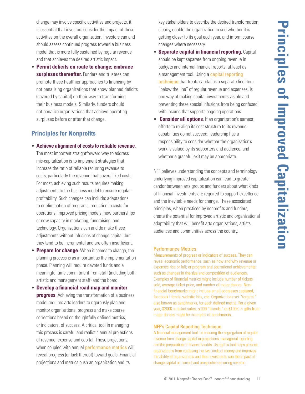change may involve specific activities and projects, it is essential that investors consider the impact of these activities on the overall organization. Investors can and should assess continued progress toward a business model that is more fully sustained by regular revenue and that achieves the desired artistic impact.

• **Permit deficits en route to change; embrace surpluses thereafter.** Funders and trustees can promote these healthier approaches to financing by not penalizing organizations that show planned deficits (covered by capital) on their way to transforming their business models. Similarly, funders should not penalize organizations that achieve operating surpluses before or after that change.

# **Principles for Nonprofits**

- • **Achieve alignment of costs to reliable revenue**.
	- The most important straightforward way to address mis-capitalization is to implement strategies that increase the ratio of reliable recurring revenue to costs, particularly the revenue that covers fixed costs. For most, achieving such results requires making adjustments to the business model to ensure regular profitability. Such changes can include: adaptations to or elimination of programs, reduction in costs for operations, improved pricing models, new partnerships or new capacity in marketing, fundraising, and technology. Organizations can and do make these adjustments without infusions of change capital, but they tend to be incremental and are often insufficient.
- **Prepare for change**. When it comes to change, the planning process is as important as the implementation phase. Planning will require devoted funds and a meaningful time commitment from staff (including both artistic and management staff) and the board.
- • **Develop a financial road-map and monitor progress**. Achieving the transformation of a business model requires arts leaders to rigorously plan and monitor organizational progress and make course corrections based on thoughtfully defined metrics, or indicators, of success. A critical tool in managing this process is careful and realistic annual projections of revenue, expense and capital. These projections, when coupled with annual performance metrics will reveal progress (or lack thereof) toward goals. Financial projections and metrics push an organization and its

key stakeholders to describe the desired transformation clearly, enable the organization to see whether it is getting closer to its goal each year, and inform course changes where necessary.

- **Separate capital in financial reporting**. Capital should be kept separate from ongoing revenue in budgets and internal financial reports, at least as a management tool. Using a capital reporting technique that treats capital as a separate line item, "below the line" of regular revenue and expenses, is one way of making capital investments visible and preventing these special infusions from being confused with income that supports ongoing operations.
- • **Consider all options**. If an organization's earnest efforts to re-align its cost structure to its revenue capabilities do not succeed, leadership has a responsibility to consider whether the organization's work is valued by its supporters and audience, and whether a graceful exit may be appropriate.

NFF believes understanding the concepts and terminology underlying improved capitalization can lead to greater candor between arts groups and funders about what kinds of financial investments are required to support excellence and the inevitable needs for change. These associated principles, when practiced by nonprofits and funders, create the potential for improved artistic and organizational adaptability that will benefit arts organizations, artists, audiences and communities across the country.

#### Performance Metrics

Measurements of progress or indicators of success. They can reveal economic performance, such as how and why revenue or expenses rise or fall; or program and operational achievements, such as changes in the size and composition of audiences. Examples of financial metrics might include number of tickets sold, average ticket price, and number of major donors. Nonfinancial benchmarks might include email addresses captured, facebook friends, website hits, etc. Organizations set "targets," also known as benchmarks, for each defined metric. For a given year, \$200K in ticket sales, 5,000 "friends," or \$100K in gifts from major donors might be examples of benchmarks.

#### NFF's Capital Reporting Technique

A financial management tool for ensuring the segregation of regular revenue from change capital in projections, managerial reporting and the preparation of financial audits. Using this tool helps prevent organizations from confusing the two kinds of money and improves the ability of organizations and their investors to see the impact of change capital on current and prospective recurring revenue.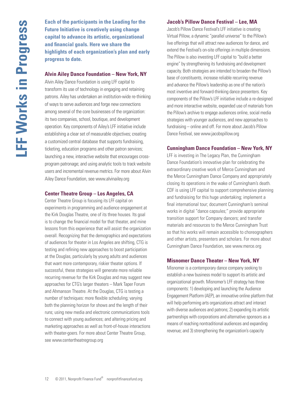**Each of the participants in the Leading for the Future Initiative is creatively using change capital to advance its artistic, organizational and financial goals. Here we share the highlights of each organization's plan and early progress to date.** 

#### **Alvin Ailey Dance Foundation – New York, NY**

Alvin Ailey Dance Foundation is using LFF capital to transform its use of technology in engaging and retaining patrons. Ailey has undertaken an institution-wide re-thinking of ways to serve audiences and forge new connections among several of the core businesses of the organization: its two companies, school, boutique, and development operation. Key components of Ailey's LFF initiative include establishing a clear set of measurable objectives; creating a customized central database that supports fundraising, ticketing, education programs and other patron services; launching a new, interactive website that encourages crossprogram patronage; and using analytic tools to track website users and incremental revenue metrics. For more about Alvin Ailey Dance Foundation, see www.alvinailey.org

#### **Center Theatre Group – Los Angeles, CA**

Center Theatre Group is focusing its LFF capital on experiments in programming and audience engagement at the Kirk Douglas Theatre, one of its three houses. Its goal is to change the financial model for that theater, and mine lessons from this experience that will assist the organization overall. Recognizing that the demographics and expectations of audiences for theater in Los Angeles are shifting, CTG is testing and refining new approaches to boost participation at the Douglas, particularly by young adults and audiences that want more contemporary, riskier theater options. If successful, these strategies will generate more reliable recurring revenue for the Kirk Douglas and may suggest new approaches for CTG's larger theaters – Mark Taper Forum and Ahmanson Theatre. At the Douglas, CTG is testing a number of techniques: more flexible scheduling; varying both the planning horizon for shows and the length of their runs; using new media and electronic communications tools to connect with young audiences; and altering pricing and marketing approaches as well as front-of-house interactions with theater-goers. For more about Center Theatre Group, see www.centertheatregroup.org

#### **Jacob's Pillow Dance Festival – Lee, MA**

Jacob's Pillow Dance Festival's LFF initiative is creating Virtual Pillow, a dynamic "parallel universe" to the Pillow's live offerings that will attract new audiences for dance, and extend the Festival's on-site offerings in multiple dimensions. The Pillow is also investing LFF capital to "build a better engine" by strengthening its fundraising and development capacity. Both strategies are intended to broaden the Pillow's base of constituents, increase reliable recurring revenue and advance the Pillow's leadership as one of the nation's most inventive and forward-thinking dance presenters. Key components of the Pillow's LFF initiative include a re-designed and more interactive website, expanded use of materials from the Pillow's archive to engage audiences online, social media strategies with younger audiences, and new approaches to fundraising – online and off. For more about Jacob's Pillow Dance Festival, see www.jacobspillow.org

#### **Cunningham Dance Foundation – New York, NY**

LFF is investing in The Legacy Plan, the Cunningham Dance Foundation's innovative plan for celebrating the extraordinary creative work of Merce Cunningham and the Merce Cunningham Dance Company and appropriately closing its operations in the wake of Cunningham's death. CDF is using LFF capital to support comprehensive planning and fundraising for this huge undertaking; implement a final international tour; document Cunningham's seminal works in digital "dance capsules;" provide appropriate transition support for Company dancers; and transfer materials and resources to the Merce Cunningham Trust so that his works will remain accessible to choreographers and other artists, presenters and scholars. For more about Cunningham Dance Foundation, see www.merce.org

#### **Misnomer Dance Theater – New York, NY**

Misnomer is a contemporary dance company seeking to establish a new business model to support its artistic and organizational growth. Misnomer's LFF strategy has three components: 1) developing and launching the Audience Engagement Platform (AEP), an innovative online platform that will help performing arts organizations attract and interact with diverse audiences and patrons; 2) expanding its artistic partnerships with corporations and alternative sponsors as a means of reaching nontraditional audiences and expanding revenue; and 3) strengthening the organization's capacity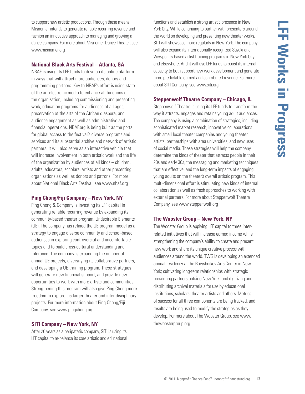to support new artistic productions. Through these means, Misnomer intends to generate reliable recurring revenue and fashion an innovative approach to managing and growing a dance company. For more about Misnomer Dance Theater, see www.misnomer.org

#### **National Black Arts Festival – Atlanta, GA**

NBAF is using its LFF funds to develop its online platform in ways that will attract more audiences, donors and programming partners. Key to NBAF's effort is using state of the art electronic media to enhance all functions of the organization, including commissioning and presenting work, education programs for audiences of all ages, preservation of the arts of the African diaspora, and audience engagement as well as administrative and financial operations. NBAF.org is being built as the portal for global access to the festival's diverse programs and services and its substantial archive and network of artistic partners. It will also serve as an interactive vehicle that will increase involvement in both artistic work and the life of the organization by audiences of all kinds – children, adults, educators, scholars, artists and other presenting organizations as well as donors and patrons. For more about National Black Arts Festival, see www.nbaf.org

#### **Ping Chong/Fiji Company – New York, NY**

Ping Chong & Company is investing its LFF capital in generating reliable recurring revenue by expanding its community-based theater program, Undesirable Elements (UE). The company has refined the UE program model as a strategy to engage diverse community and school-based audiences in exploring controversial and uncomfortable topics and to build cross-cultural understanding and tolerance. The company is expanding the number of annual UE projects, diversifying its collaborative partners, and developing a UE training program. These strategies will generate new financial support, and provide new opportunities to work with more artists and communities. Strengthening this program will also give Ping Chong more freedom to explore his larger theater and inter-disciplinary projects. For more information about Ping Chong/Fiji Company, see www.pingchong.org

# **SITI Company – New York, NY**

After 20 years as a peripatetic company, SITI is using its LFF capital to re-balance its core artistic and educational functions and establish a strong artistic presence in New York City. While continuing to partner with presenters around the world on developing and presenting new theater works, SITI will showcase more regularly in New York. The company will also expand its internationally recognized Suzuki and Viewpoints-based artist training programs in New York City and elsewhere. And it will use LFF funds to boost its internal capacity to both support new work development and generate more predictable earned and contributed revenue. For more about SITI Company, see www.siti.org

# **Steppenwolf Theatre Company – Chicago, IL**

Steppenwolf Theatre is using its LFF funds to transform the way it attracts, engages and retains young adult audiences. The company is using a combination of strategies, including sophisticated market research, innovative collaborations with small local theater companies and young theater artists, partnerships with area universities, and new uses of social media. These strategies will help the company determine the kinds of theater that attracts people in their 20s and early 30s, the messaging and marketing techniques that are effective, and the long-term impacts of engaging young adults on the theater's overall artistic program. This multi-dimensional effort is stimulating new kinds of internal collaboration as well as fresh approaches to working with external partners. For more about Steppenwolf Theatre Company, see www.steppenwolf.org

#### **The Wooster Group – New York, NY**

The Wooster Group is applying LFF capital to three interrelated initiatives that will increase earned income while strengthening the company's ability to create and present new work and share its unique creative process with audiences around the world. TWG is developing an extended annual residency at the Baryshnikov Arts Center in New York; cultivating long-term relationships with strategic presenting partners outside New York; and digitizing and distributing archival materials for use by educational institutions, scholars, theater artists and others. Metrics of success for all three components are being tracked, and results are being used to modify the strategies as they develop. For more about The Wooster Group, see www. thewoostergroup.org